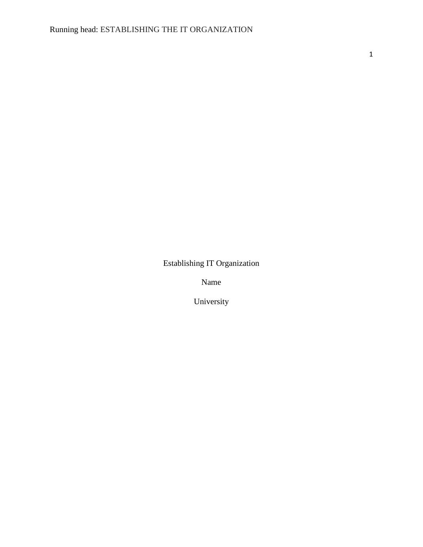Establishing IT Organization

Name

University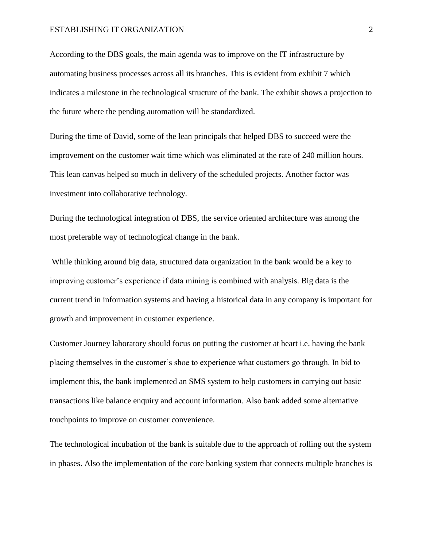According to the DBS goals, the main agenda was to improve on the IT infrastructure by automating business processes across all its branches. This is evident from exhibit 7 which indicates a milestone in the technological structure of the bank. The exhibit shows a projection to the future where the pending automation will be standardized.

During the time of David, some of the lean principals that helped DBS to succeed were the improvement on the customer wait time which was eliminated at the rate of 240 million hours. This lean canvas helped so much in delivery of the scheduled projects. Another factor was investment into collaborative technology.

During the technological integration of DBS, the service oriented architecture was among the most preferable way of technological change in the bank.

While thinking around big data, structured data organization in the bank would be a key to improving customer's experience if data mining is combined with analysis. Big data is the current trend in information systems and having a historical data in any company is important for growth and improvement in customer experience.

Customer Journey laboratory should focus on putting the customer at heart i.e. having the bank placing themselves in the customer's shoe to experience what customers go through. In bid to implement this, the bank implemented an SMS system to help customers in carrying out basic transactions like balance enquiry and account information. Also bank added some alternative touchpoints to improve on customer convenience.

The technological incubation of the bank is suitable due to the approach of rolling out the system in phases. Also the implementation of the core banking system that connects multiple branches is